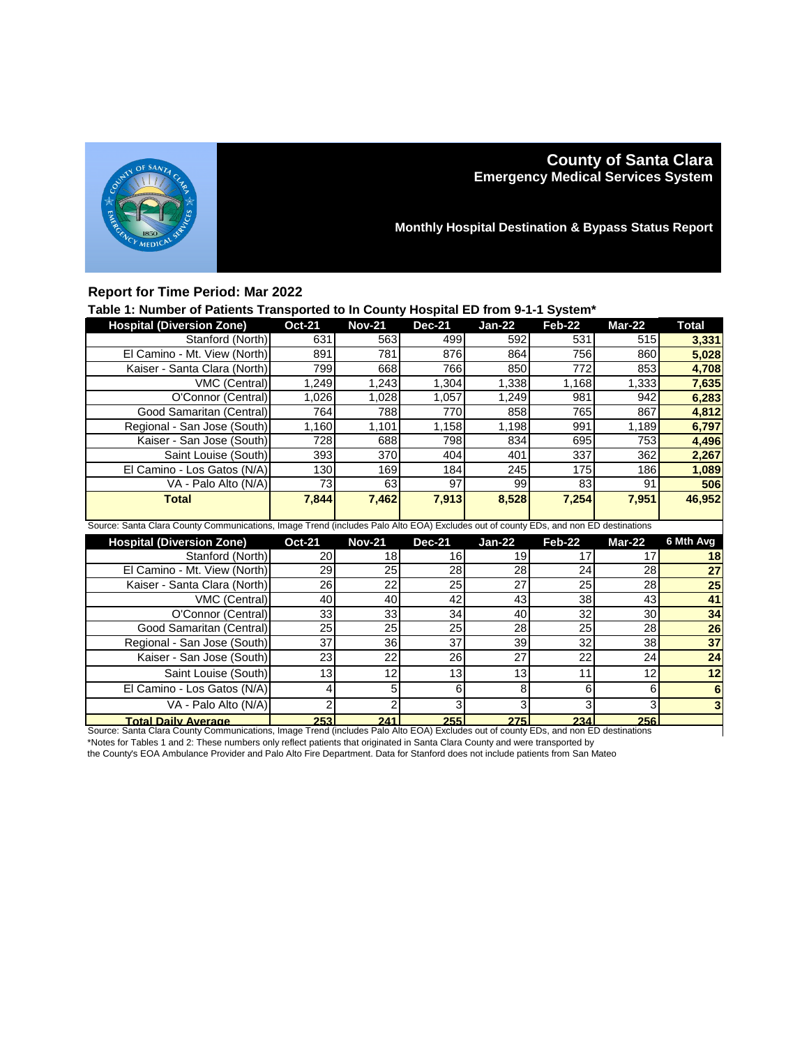

## **County of Santa Clara Emergency Medical Services System**

**Monthly Hospital Destination & Bypass Status Report**

## **Report for Time Period: Mar 2022**

## **Table 1: Number of Patients Transported to In County Hospital ED from 9-1-1 System\***

| <b>Hospital (Diversion Zone)</b>                                                                                                    | <b>Oct-21</b>   | <b>Nov-21</b> | <b>Dec-21</b>   | $Jan-22$ | Feb-22 | Mar-22          | <b>Total</b>    |  |
|-------------------------------------------------------------------------------------------------------------------------------------|-----------------|---------------|-----------------|----------|--------|-----------------|-----------------|--|
| Stanford (North)                                                                                                                    | 631             | 563           | 499             | 592      | 531    | 515             | 3,331           |  |
| El Camino - Mt. View (North)                                                                                                        | 891             | 781           | 876             | 864      | 756    | 860             | 5,028           |  |
| Kaiser - Santa Clara (North)                                                                                                        | 799             | 668           | 766             | 850      | 772    | 853             | 4.708           |  |
| VMC (Central)                                                                                                                       | 1,249           | 1,243         | 1,304           | 1,338    | 1.168  | 1,333           | 7,635           |  |
| O'Connor (Central)                                                                                                                  | 1,026           | 1,028         | 1,057           | 1,249    | 981    | 942             | 6,283           |  |
| Good Samaritan (Central)                                                                                                            | 764             | 788           | 770             | 858      | 765    | 867             | 4,812           |  |
| Regional - San Jose (South)                                                                                                         | 1.160           | 1,101         | 1,158           | 1,198    | 991    | 1,189           | 6,797           |  |
| Kaiser - San Jose (South)                                                                                                           | 728             | 688           | 798             | 834      | 695    | 753             | 4,496           |  |
| Saint Louise (South)                                                                                                                | 393             | 370           | 404             | 401      | 337    | 362             | 2,267           |  |
| El Camino - Los Gatos (N/A)                                                                                                         | 130             | 169           | 184             | 245      | 175    | 186             | 1,089           |  |
| VA - Palo Alto (N/A)                                                                                                                | 73              | 63            | 97              | 99       | 83     | 91              | 506             |  |
| <b>Total</b>                                                                                                                        | 7,844           | 7,462         | 7,913           | 8,528    | 7,254  | 7,951           | 46,952          |  |
|                                                                                                                                     |                 |               |                 |          |        |                 |                 |  |
| Source: Santa Clara County Communications, Image Trend (includes Palo Alto EOA) Excludes out of county EDs, and non ED destinations |                 |               |                 |          |        |                 |                 |  |
|                                                                                                                                     |                 |               |                 |          |        |                 |                 |  |
| <b>Hospital (Diversion Zone)</b>                                                                                                    | <b>Oct-21</b>   | <b>Nov-21</b> | <b>Dec-21</b>   | $Jan-22$ | Feb-22 | Mar-22          | 6 Mth Avg       |  |
| Stanford (North)                                                                                                                    | 20              | 18            | 16              | 19       | 17     | 17              | 18              |  |
| El Camino - Mt. View (North)                                                                                                        | 29              | 25            | 28              | 28       | 24     | 28              | 27              |  |
| Kaiser - Santa Clara (North)                                                                                                        | $\overline{26}$ | 22            | $\overline{25}$ | 27       | 25     | $\overline{28}$ | $\overline{25}$ |  |
| VMC (Central)                                                                                                                       | 40              | 40            | 42              | 43       | 38     | 43              | 41              |  |
| O'Connor (Central)                                                                                                                  | 33              | 33            | 34              | 40       | 32     | 30              | 34              |  |
| Good Samaritan (Central)                                                                                                            | $\overline{25}$ | 25            | 25              | 28       | 25     | 28              | $\overline{26}$ |  |
| Regional - San Jose (South)                                                                                                         | 37              | 36            | 37              | 39       | 32     | 38              | $\overline{37}$ |  |
| Kaiser - San Jose (South)                                                                                                           | 23              | 22            | 26              | 27       | 22     | 24              | $\overline{24}$ |  |
| Saint Louise (South)                                                                                                                | 13              | 12            | 13              | 13       | 11     | 12              | 12              |  |
| El Camino - Los Gatos (N/A)                                                                                                         | 4               | 5             | 6               | 8        | 6      | 6               | 6               |  |
| VA - Palo Alto (N/A)                                                                                                                | $\overline{c}$  | 2             | 3               | 3        | 3      | 3               | 3               |  |

**Total Daily Average 253 241 255 275 234 256** Source: Santa Clara County Communications, Image Trend (includes Palo Alto EOA) Excludes out of county EDs, and non ED destinations \*Notes for Tables 1 and 2: These numbers only reflect patients that originated in Santa Clara County and were transported by

the County's EOA Ambulance Provider and Palo Alto Fire Department. Data for Stanford does not include patients from San Mateo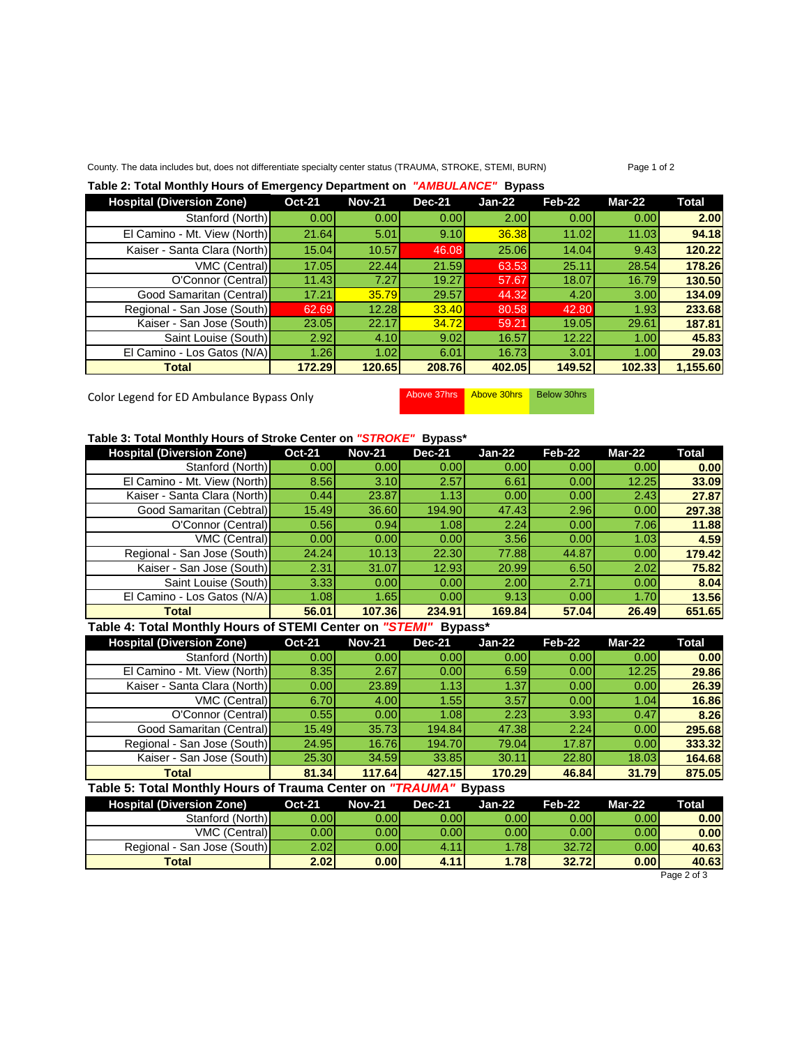### County. The data includes but, does not differentiate specialty center status (TRAUMA, STROKE, STEMI, BURN) Page 1 of 2

### **Table 2: Total Monthly Hours of Emergency Department on** *"AMBULANCE"* **Bypass**

| <b>Hospital (Diversion Zone)</b> | <b>Oct-21</b> | <b>Nov-21</b> | <b>Dec-21</b> | $Jan-22$ | Feb-22 | $Mar-22$ | Total    |
|----------------------------------|---------------|---------------|---------------|----------|--------|----------|----------|
| Stanford (North)                 | 0.00          | 0.00          | 0.001         | 2.00     | 0.00   | 0.00     | 2.00     |
| El Camino - Mt. View (North)     | 21.64         | 5.01          | 9.10          | 36.38    | 11.02  | 11.03    | 94.18    |
| Kaiser - Santa Clara (North)     | 15.04         | 10.57         | 46.08         | 25.06    | 14.04  | 9.43     | 120.22   |
| VMC (Central)                    | 17.05         | 22.44         | 21.59         | 63.53    | 25.11  | 28.54    | 178.26   |
| O'Connor (Central)               | 11.43         | 7.27          | 19.27         | 57.67    | 18.07  | 16.79    | 130.50   |
| Good Samaritan (Central)         | 17.21         | 35.79         | 29.57         | 44.32    | 4.20   | 3.00     | 134.09   |
| Regional - San Jose (South)      | 62.69         | 12.28         | 33.40         | 80.58    | 42.80  | 1.93     | 233.68   |
| Kaiser - San Jose (South)        | 23.05         | 22.17         | 34.72         | 59.21    | 19.05  | 29.61    | 187.81   |
| Saint Louise (South)             | 2.92          | 4.10          | 9.02          | 16.57    | 12.22  | 1.00     | 45.83    |
| El Camino - Los Gatos (N/A)      | 1.26          | 1.02          | 6.01          | 16.73    | 3.01   | 1.00     | 29.03    |
| <b>Total</b>                     | 172.29        | 120.65        | 208.76        | 402.05   | 149.52 | 102.33   | 1,155.60 |

Color Legend for ED Ambulance Bypass Only Above 37hrs Above 30hrs Below 30hrs

# **Table 3: Total Monthly Hours of Stroke Center on** *"STROKE"* **Bypass\***

| <b>Hospital (Diversion Zone)</b> | <b>Oct-21</b> | <b>Nov-21</b> | <b>Dec-21</b> | $Jan-22$ | Feb-22 | Mar-22 | Total  |
|----------------------------------|---------------|---------------|---------------|----------|--------|--------|--------|
| Stanford (North)                 | 0.00          | 0.001         | 0.00          | 0.00     | 0.001  | 0.00   | 0.00   |
| El Camino - Mt. View (North)     | 8.56          | 3.10          | 2.57          | 6.61     | 0.00   | 12.25  | 33.09  |
| Kaiser - Santa Clara (North)     | 0.44          | 23.87         | 1.13          | 0.00     | 0.00   | 2.43   | 27.87  |
| Good Samaritan (Cebtral)         | 15.49         | 36.60         | 194.90        | 47.43    | 2.96   | 0.00   | 297.38 |
| O'Connor (Central)               | 0.56          | 0.94          | 1.08          | 2.24     | 0.00   | 7.06   | 11.88  |
| VMC (Central)                    | 0.00          | 0.00          | 0.00          | 3.56     | 0.00   | 1.03   | 4.59   |
| Regional - San Jose (South)      | 24.24         | 10.13         | 22.30         | 77.88    | 44.87  | 0.00   | 179.42 |
| Kaiser - San Jose (South)        | 2.31          | 31.07         | 12.93         | 20.99    | 6.50   | 2.02   | 75.82  |
| Saint Louise (South)             | 3.33          | 0.00          | 0.00          | 2.00     | 2.71   | 0.00   | 8.04   |
| El Camino - Los Gatos (N/A)      | 1.08          | 1.65          | 0.00          | 9.13     | 0.00   | 1.70   | 13.56  |
| Total                            | 56.01         | 107.36        | 234.91        | 169.84   | 57.04  | 26.49  | 651.65 |

## **Table 4: Total Monthly Hours of STEMI Center on** *"STEMI"* **Bypass\***

| <b>Hospital (Diversion Zone)</b> | <b>Oct-21</b> | <b>Nov-21</b>     | <b>Dec-21</b> | Jan-22 | Feb-22 | Mar-22 | Total  |
|----------------------------------|---------------|-------------------|---------------|--------|--------|--------|--------|
| Stanford (North)                 | 0.00          | 0.00 <sub>l</sub> | 0.00          | 0.001  | 0.001  | 0.00   | 0.00   |
| El Camino - Mt. View (North)     | 8.35          | 2.67              | 0.00          | 6.59   | 0.00   | 12.25  | 29.86  |
| Kaiser - Santa Clara (North)     | 0.00          | 23.89             | 1.13          | 1.37   | 0.00   | 0.00   | 26.39  |
| <b>VMC (Central)</b>             | 6.70          | 4.00              | 1.55          | 3.57   | 0.00   | 1.04   | 16.86  |
| O'Connor (Central)               | 0.55          | 0.00 <sub>l</sub> | 1.08          | 2.23   | 3.93   | 0.47   | 8.26   |
| Good Samaritan (Central)         | 15.49         | 35.73             | 194.84        | 47.38  | 2.24   | 0.00   | 295.68 |
| Regional - San Jose (South)      | 24.95         | 16.76             | 194.70        | 79.04  | 17.87  | 0.00   | 333.32 |
| Kaiser - San Jose (South)        | 25.30         | 34.59             | 33.85         | 30.11  | 22.80  | 18.03  | 164.68 |
| Total                            | 81.34         | 117.64            | 427.15        | 170.29 | 46.84  | 31.79  | 875.05 |

#### **Table 5: Total Monthly Hours of Trauma Center on** *"TRAUMA"* **Bypass**

| <b>Hospital (Diversion Zone)</b> | <b>Oct-21</b> | <b>Nov-21</b> | <b>Dec-21</b> | Jan-22            | Feb-22 | Mar-22 | <b>Total</b> |
|----------------------------------|---------------|---------------|---------------|-------------------|--------|--------|--------------|
| Stanford (North)                 | 0.001         | 0.00l         | 0.00l         | 0.00 <sub>l</sub> | 0.00   | 0.00   | 0.00         |
| <b>VMC (Central)</b>             | 0.00l         | 0.001         | 0.001         | 0.00 <sub>l</sub> | 0.001  | 0.00   | 0.00         |
| Regional - San Jose (South)      | 2.02          | 0.001         | 4.11          | 78V               | 32.72  | 0.00   | 40.63        |
| <b>Total</b>                     | 2.02          | 0.001         | 4.11          | 1.781             | 32.72  | 0.00   | 40.63        |